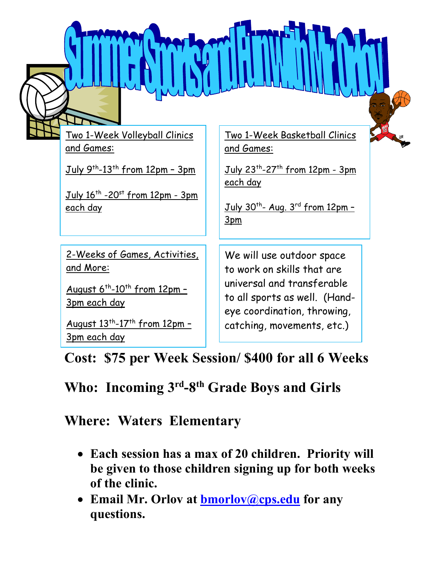|  | LA A LA LA LA CONSULTA A LA                                           |                                                                                            |  |
|--|-----------------------------------------------------------------------|--------------------------------------------------------------------------------------------|--|
|  | Two 1-Week Volleyball Clinics<br>and Games:                           | <u>Two 1-Week Basketball Clinics</u><br>and Games:                                         |  |
|  | July 9th-13th from 12pm - 3pm                                         | July 23 <sup>th</sup> -27 <sup>th</sup> from 12pm - 3pm<br><u>each day</u>                 |  |
|  | July 16 <sup>th</sup> -20 <sup>st</sup> from 12pm - 3pm<br>each day   | $July 30th - Aug. 3rd from 12pm -$<br>3 <sub>pm</sub>                                      |  |
|  | 2-Weeks of Games, Activities,<br><u>and More:</u>                     | We will use outdoor space<br>to work on skills that are                                    |  |
|  | August 6 <sup>th</sup> -10 <sup>th</sup> from 12pm -<br>3pm each day  | universal and transferable<br>to all sports as well. (Hand-<br>eye coordination, throwing, |  |
|  | August 13 <sup>th</sup> -17 <sup>th</sup> from 12pm -<br>3pm each day | catching, movements, etc.)                                                                 |  |

**Cost: \$75 per Week Session/ \$400 for all 6 Weeks**

# **Who: Incoming 3rd-8th Grade Boys and Girls**

## **Where: Waters Elementary**

- **Each session has a max of 20 children. Priority will be given to those children signing up for both weeks of the clinic.**
- **Email Mr. Orlov at bmorlov@cps.edu for any questions.**